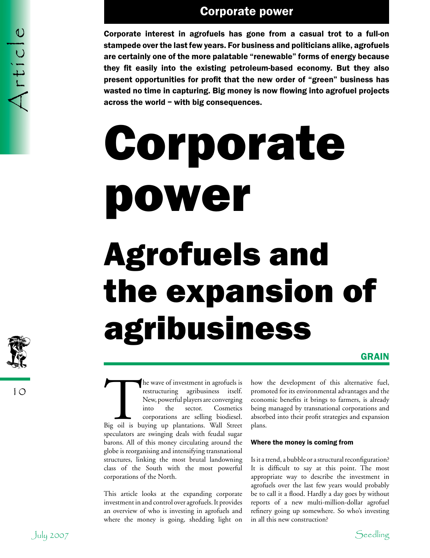Corporate interest in agrofuels has gone from a casual trot to a full-on stampede over the last few years. For business and politicians alike, agrofuels are certainly one of the more palatable "renewable" forms of energy because they fit easily into the existing petroleum-based economy. But they also present opportunities for profit that the new order of "green" business has wasted no time in capturing. Big money is now flowing into agrofuel projects across the world – with big consequences.

### Corporate power Agrofuels and the expansion of agribusiness

### **GRAIN**

The wave of investment in agrofuels is<br>
restructuring agribusiness itself.<br>
New, powerful players are converging<br>
into the sector. Cosmetics<br>
corporations are selling biodiesel.<br>
Big oil is buying up plantations. Wall Stre restructuring agribusiness itself. New, powerful players are converging into the sector. Cosmetics corporations are selling biodiesel. speculators are swinging deals with feudal sugar barons. All of this money circulating around the globe is reorganising and intensifying transnational structures, linking the most brutal landowning class of the South with the most powerful corporations of the North.

This article looks at the expanding corporate investment in and control over agrofuels. It provides an overview of who is investing in agrofuels and where the money is going, shedding light on

how the development of this alternative fuel, promoted for its environmental advantages and the economic benefits it brings to farmers, is already being managed by transnational corporations and absorbed into their profit strategies and expansion plans.

### Where the money is coming from

Is it a trend, a bubble or a structural reconfiguration? It is difficult to say at this point. The most appropriate way to describe the investment in agrofuels over the last few years would probably be to call it a flood. Hardly a day goes by without reports of a new multi-million-dollar agrofuel refinery going up somewhere. So who's investing in all this new construction?

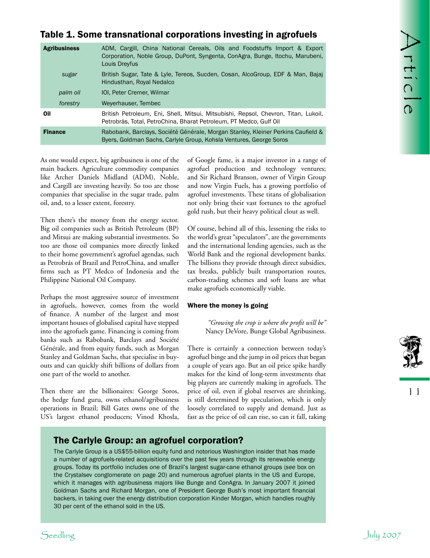### Table 1. Some transnational corporations investing in agrofuels

| <b>Agribusiness</b>                                                         |                                                                                                                                                                                                                                                                                                                                                                                                                                                                                                                                                                                                                                         | ADM, Cargill, China National Cereals, Oils and Foodstuffs Import & Export<br>Corporation, Noble Group, DuPont, Syngenta, ConAgra, Bunge, Itochu, Marubeni,                                                                                                                                                                                                                                                                                                                                                                                                                                                                                                                                                                                                          | FEICIE    |
|-----------------------------------------------------------------------------|-----------------------------------------------------------------------------------------------------------------------------------------------------------------------------------------------------------------------------------------------------------------------------------------------------------------------------------------------------------------------------------------------------------------------------------------------------------------------------------------------------------------------------------------------------------------------------------------------------------------------------------------|---------------------------------------------------------------------------------------------------------------------------------------------------------------------------------------------------------------------------------------------------------------------------------------------------------------------------------------------------------------------------------------------------------------------------------------------------------------------------------------------------------------------------------------------------------------------------------------------------------------------------------------------------------------------------------------------------------------------------------------------------------------------|-----------|
|                                                                             | Louis Dreyfus                                                                                                                                                                                                                                                                                                                                                                                                                                                                                                                                                                                                                           | British Sugar, Tate & Lyle, Tereos, Sucden, Cosan, AlcoGroup, EDF & Man, Bajaj                                                                                                                                                                                                                                                                                                                                                                                                                                                                                                                                                                                                                                                                                      |           |
| sugar                                                                       | Hindusthan, Royal Nedalco                                                                                                                                                                                                                                                                                                                                                                                                                                                                                                                                                                                                               |                                                                                                                                                                                                                                                                                                                                                                                                                                                                                                                                                                                                                                                                                                                                                                     |           |
| palm oil                                                                    | IOI, Peter Cremer, Wilmar                                                                                                                                                                                                                                                                                                                                                                                                                                                                                                                                                                                                               |                                                                                                                                                                                                                                                                                                                                                                                                                                                                                                                                                                                                                                                                                                                                                                     |           |
| forestry                                                                    | Weyerhauser, Tembec                                                                                                                                                                                                                                                                                                                                                                                                                                                                                                                                                                                                                     |                                                                                                                                                                                                                                                                                                                                                                                                                                                                                                                                                                                                                                                                                                                                                                     |           |
| Oil                                                                         | British Petroleum, Eni, Shell, Mitsui, Mitsubishi, Repsol, Chevron, Titan, Lukoil,<br>Petrobrás, Total, PetroChina, Bharat Petroleum, PT Medco, Gulf Oil                                                                                                                                                                                                                                                                                                                                                                                                                                                                                |                                                                                                                                                                                                                                                                                                                                                                                                                                                                                                                                                                                                                                                                                                                                                                     |           |
| <b>Finance</b>                                                              | Rabobank, Barclays, Société Générale, Morgan Stanley, Kleiner Perkins Caufield &<br>Byers, Goldman Sachs, Carlyle Group, Kohsla Ventures, George Soros                                                                                                                                                                                                                                                                                                                                                                                                                                                                                  |                                                                                                                                                                                                                                                                                                                                                                                                                                                                                                                                                                                                                                                                                                                                                                     |           |
| oil, and, to a lesser extent, forestry.<br>Philippine National Oil Company. | As one would expect, big agribusiness is one of the<br>main backers. Agriculture commodity companies<br>like Archer Daniels Midland (ADM), Noble,<br>and Cargill are investing heavily. So too are those<br>companies that specialise in the sugar trade, palm<br>Then there's the money from the energy sector.<br>Big oil companies such as British Petroleum (BP)<br>and Mitsui are making substantial investments. So<br>too are those oil companies more directly linked<br>to their home government's agrofuel agendas, such<br>as Petrobrás of Brazil and PetroChina, and smaller<br>firms such as PT Medco of Indonesia and the | of Google fame, is a major investor in a range of<br>agrofuel production and technology ventures;<br>and Sir Richard Branson, owner of Virgin Group<br>and now Virgin Fuels, has a growing portfolio of<br>agrofuel investments. These titans of globalisation<br>not only bring their vast fortunes to the agrofuel<br>gold rush, but their heavy political clout as well.<br>Of course, behind all of this, lessening the risks to<br>the world's great "speculators", are the governments<br>and the international lending agencies, such as the<br>World Bank and the regional development banks.<br>The billions they provide through direct subsidies,<br>tax breaks, publicly built transportation routes,<br>carbon-trading schemes and soft loans are what |           |
|                                                                             | Perhaps the most aggressive source of investment<br>in agrofuels, however, comes from the world                                                                                                                                                                                                                                                                                                                                                                                                                                                                                                                                         | make agrofuels economically viable.<br>Where the money is going                                                                                                                                                                                                                                                                                                                                                                                                                                                                                                                                                                                                                                                                                                     |           |
| one part of the world to another.                                           | of finance. A number of the largest and most<br>important houses of globalised capital have stepped<br>into the agrofuels game. Financing is coming from<br>banks such as Rabobank, Barclays and Société<br>Générale, and from equity funds, such as Morgan<br>Stanley and Goldman Sachs, that specialise in buy-<br>outs and can quickly shift billions of dollars from<br>Then there are the billionaires: George Soros,<br>the hedge fund guru, owns ethanol/agribusiness<br>operations in Brazil; Bill Gates owns one of the<br>US's largest ethanol producers; Vinod Khosla,                                                       | "Growing the crop is where the profit will be"<br>Nancy DeVore, Bunge Global Agribusiness.<br>There is certainly a connection between today's<br>agrofuel binge and the jump in oil prices that began<br>a couple of years ago. But an oil price spike hardly<br>makes for the kind of long-term investments that<br>big players are currently making in agrofuels. The<br>price of oil, even if global reserves are shrinking,<br>is still determined by speculation, which is only<br>loosely correlated to supply and demand. Just as<br>fast as the price of oil can rise, so can it fall, taking                                                                                                                                                               | 11        |
|                                                                             | The Carlyle Group: an agrofuel corporation?<br>30 per cent of the ethanol sold in the US.                                                                                                                                                                                                                                                                                                                                                                                                                                                                                                                                               | The Carlyle Group is a US\$55-billion equity fund and notorious Washington insider that has made<br>a number of agrofuels-related acquisitions over the past few years through its renewable energy<br>groups. Today its portfolio includes one of Brazil's largest sugar-cane ethanol groups (see box on<br>the Crystalsev conglomerate on page 20) and numerous agrofuel plants in the US and Europe,<br>which it manages with agribusiness majors like Bunge and ConAgra. In January 2007 it joined<br>Goldman Sachs and Richard Morgan, one of President George Bush's most important financial<br>backers, in taking over the energy distribution corporation Kinder Morgan, which handles roughly                                                             |           |
| Seedling                                                                    |                                                                                                                                                                                                                                                                                                                                                                                                                                                                                                                                                                                                                                         |                                                                                                                                                                                                                                                                                                                                                                                                                                                                                                                                                                                                                                                                                                                                                                     | July 2007 |

### Where the money is going



### The Carlyle Group: an agrofuel corporation?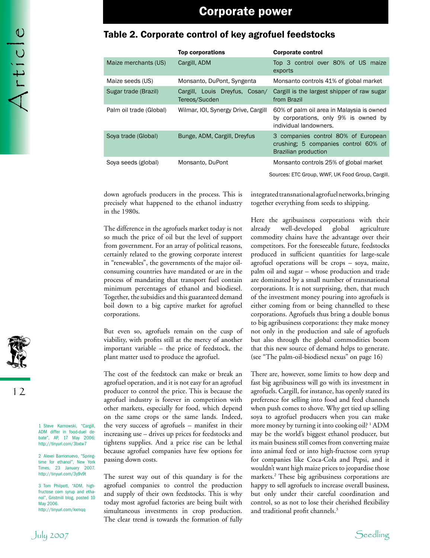### Table 2. Corporate control of key agrofuel feedstocks

|                         | <b>Top corporations</b>                         | <b>Corporate control</b>                                                                                    |
|-------------------------|-------------------------------------------------|-------------------------------------------------------------------------------------------------------------|
| Maize merchants (US)    | Cargill, ADM                                    | Top 3 control over 80% of US maize<br>exports                                                               |
| Maize seeds (US)        | Monsanto, DuPont, Syngenta                      | Monsanto controls 41% of global market                                                                      |
| Sugar trade (Brazil)    | Cargill, Louis Dreyfus, Cosan/<br>Tereos/Sucden | Cargill is the largest shipper of raw sugar<br>from Brazil                                                  |
| Palm oil trade (Global) | Wilmar, IOI, Synergy Drive, Cargill             | 60% of palm oil area in Malaysia is owned<br>by corporations, only 9% is owned by<br>individual landowners. |
| Soya trade (Global)     | Bunge, ADM, Cargill, Dreyfus                    | 3 companies control 80% of European<br>crushing; 5 companies control 60% of<br>Brazilian production         |
| Soya seeds (global)     | Monsanto, DuPont                                | Monsanto controls 25% of global market                                                                      |
|                         |                                                 | Sources: ETC Group, WWF, UK Food Group, Cargill.                                                            |

down agrofuels producers in the process. This is precisely what happened to the ethanol industry in the 1980s.

The difference in the agrofuels market today is not so much the price of oil but the level of support from government. For an array of political reasons, certainly related to the growing corporate interest in "renewables", the governments of the major oilconsuming countries have mandated or are in the process of mandating that transport fuel contain minimum percentages of ethanol and biodiesel. Together, the subsidies and this guaranteed demand boil down to a big captive market for agrofuel corporations.

But even so, agrofuels remain on the cusp of viability, with profits still at the mercy of another important variable – the price of feedstock, the plant matter used to produce the agrofuel.

The cost of the feedstock can make or break an agrofuel operation, and it is not easy for an agrofuel producer to control the price. This is because the agrofuel industry is forever in competition with other markets, especially for food, which depend on the same crops or the same lands. Indeed, the very success of agrofuels – manifest in their increasing use – drives up prices for feedstocks and tightens supplies. And a price rise can be lethal because agrofuel companies have few options for passing down costs.

The surest way out of this quandary is for the agrofuel companies to control the production and supply of their own feedstocks. This is why today most agrofuel factories are being built with simultaneous investments in crop production. The clear trend is towards the formation of fully

integrated transnational agrofuel networks, bringing together everything from seeds to shipping.

Here the agribusiness corporations with their already well-developed global agriculture commodity chains have the advantage over their competitors. For the foreseeable future, feedstocks produced in sufficient quantities for large-scale agrofuel operations will be crops – soya, maize, palm oil and sugar – whose production and trade are dominated by a small number of transnational corporations. It is not surprising, then, that much of the investment money pouring into agrofuels is either coming from or being channelled to these corporations. Agrofuels thus bring a double bonus to big agribusiness corporations: they make money not only in the production and sale of agrofuels but also through the global commodities boom that this new source of demand helps to generate. (see "The palm-oil-biodiesel nexus" on page 16)

There are, however, some limits to how deep and fast big agribusiness will go with its investment in agrofuels. Cargill, for instance, has openly stated its preference for selling into food and feed channels when push comes to shove. Why get tied up selling soya to agrofuel producers when you can make more money by turning it into cooking oil? <sup>1</sup> ADM may be the world's biggest ethanol producer, but its main business still comes from converting maize into animal feed or into high-fructose corn syrup for companies like Coca-Cola and Pepsi, and it wouldn't want high maize prices to jeopardise those markets.2 These big agribusiness corporations are happy to sell agrofuels to increase overall business, but only under their careful coordination and control, so as not to lose their cherished flexibility and traditional profit channels.<sup>3</sup>



12

1 Steve Karnowski, "Cargill, ADM differ in food-duel debate", AP, 17 May 2006: http://tinyurl.com/3bxtw7

2 Alexei Barrionuevo, "Springtime for ethanol", New York Times, 23 January 2007. http://tinyurl.com/3y9v9t

3 Tom Philpott, "ADM, highfructose corn syrup and ethanol", Gristmill blog, posted 10 May 2006. http://tinyurl.com/kxmqq

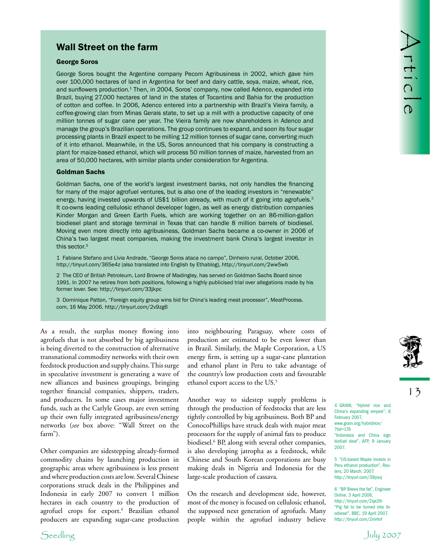### Wall Street on the farm

#### George Soros

Well Street on the farm<br>
Carego Sons trajetive second company from agriculture in 2022 within go a line<br>
noise shows that is the second company from a system of the second company and the second company<br>
and so the second George Soros bought the Argentine company Pecom Agribusiness in 2002, which gave him over 100,000 hectares of land in Argentina for beef and dairy cattle, soya, maize, wheat, rice, and sunflowers production.<sup>1</sup> Then, in 2004, Soros' company, now called Adenco, expanded into Brazil, buying 27,000 hectares of land in the states of Tocantins and Bahia for the production of cotton and coffee. In 2006, Adenco entered into a partnership with Brazil's Vieira family, a coffee-growing clan from Minas Gerais state, to set up a mill with a productive capacity of one million tonnes of sugar cane per year. The Vieira family are now shareholders in Adenco and manage the group's Brazilian operations. The group continues to expand, and soon its four sugar processing plants in Brazil expect to be milling 12 million tonnes of sugar cane, converting much of it into ethanol. Meanwhile, in the US, Soros announced that his company is constructing a plant for maize-based ethanol, which will process 50 million tonnes of maize, harvested from an area of 50,000 hectares, with similar plants under consideration for Argentina.

#### Goldman Sachs

Goldman Sachs, one of the world's largest investment banks, not only handles the financing for many of the major agrofuel ventures, but is also one of the leading investors in "renewable" energy, having invested upwards of US\$1 billion already, with much of it going into agrofuels.<sup>2</sup> It co-owns leading cellulosic ethanol developer Iogen, as well as energy distribution companies Kinder Morgan and Green Earth Fuels, which are working together on an 86-million-gallon biodiesel plant and storage terminal in Texas that can handle 8 million barrels of biodiesel. Moving even more directly into agribusiness, Goldman Sachs became a co-owner in 2006 of China's two largest meat companies, making the investment bank China's largest investor in this sector.3

1 Fabiane Stefano and Lívia Andrade, "George Soros ataca no campo", Dinheiro rural, October 2006, http://tinyurl.com/365e4z (also translated into English by Ethablog), http://tinyurl.com/2ww5wb

2 The CEO of British Petroleum, Lord Browne of Madingley, has served on Goldman Sachs Board since 1991. In 2007 he retires from both positions, following a highly publicised trial over allegations made by his former lover. See: http://tinyurl.com/33jkpc

3 Dominique Patton, "Foreign equity group wins bid for China's leading meat processor", MeatProcess. com, 16 May 2006. http://tinyurl.com/2v9zg6

As a result, the surplus money flowing into agrofuels that is not absorbed by big agribusiness is being diverted to the construction of alternative transnational commodity networks with their own feedstock production and supply chains. This surge in speculative investment is generating a wave of new alliances and business groupings, bringing together financial companies, shippers, traders, and producers. In some cases major investment funds, such as the Carlyle Group, are even setting up their own fully integrated agribusiness/energy networks (*see* box above: "Wall Street on the farm").

Other companies are sidestepping already-formed commodity chains by launching production in geographic areas where agribusiness is less present and where production costs are low. Several Chinese corporations struck deals in the Philippines and Indonesia in early 2007 to convert 1 million hectares in each country to the production of agrofuel crops for export.<sup>4</sup> Brazilian ethanol producers are expanding sugar-cane production

into neighbouring Paraguay, where costs of production are estimated to be even lower than in Brazil. Similarly, the Maple Corporation, a US energy firm, is setting up a sugar-cane plantation and ethanol plant in Peru to take advantage of the country's low production costs and favourable ethanol export access to the US.5

Another way to sidestep supply problems is through the production of feedstocks that are less tightly controlled by big agribusiness. Both BP and ConocoPhillips have struck deals with major meat processors for the supply of animal fats to produce biodiesel.<sup>6</sup> BP, along with several other companies, is also developing jatropha as a feedstock, while Chinese and South Korean corporations are busy making deals in Nigeria and Indonesia for the large-scale production of cassava.

On the research and development side, however, most of the money is focused on cellulosic ethanol, the supposed next generation of agrofuels. Many people within the agrofuel industry believe



13

4 GRAIN, "Hybrid rice and China's expanding empire", 6 February 2007, www.grain.org/hybridrice/ ?lid=176 "Indonesia and China sign biofuel deal", AFP, 9 January 2007.

5 "US-based Maple invests in Peru ethanol production", Reuters, 20 March, 2007. http://tinyurl.com/39psuj

6 "BP Brews the fat", Engineer Online, 3 April 2006, http://tinyurl.com/2qe2lh "Pig fat to be turned into biodiesel", BBC, 19 April 2007. http://tinyurl.com/2mrhvf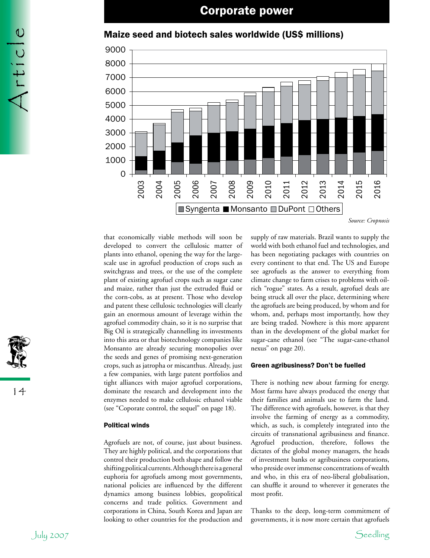

### Maize seed and biotech sales worldwide (US\$ millions)

*Source: Cropnosis*

that economically viable methods will soon be developed to convert the cellulosic matter of plants into ethanol, opening the way for the largescale use in agrofuel production of crops such as switchgrass and trees, or the use of the complete plant of existing agrofuel crops such as sugar cane and maize, rather than just the extruded fluid or the corn-cobs, as at present. Those who develop and patent these cellulosic technologies will clearly gain an enormous amount of leverage within the agrofuel commodity chain, so it is no surprise that Big Oil is strategically channelling its investments into this area or that biotechnology companies like Monsanto are already securing monopolies over the seeds and genes of promising next-generation crops, such as jatropha or miscanthus. Already, just a few companies, with large patent portfolios and tight alliances with major agrofuel corporations, dominate the research and development into the enzymes needed to make cellulosic ethanol viable (see "Coporate control, the sequel" on page 18).

### Political winds

Agrofuels are not, of course, just about business. They are highly political, and the corporations that control their production both shape and follow the shifting political currents. Although there is a general euphoria for agrofuels among most governments, national policies are influenced by the different dynamics among business lobbies, geopolitical concerns and trade politics. Government and corporations in China, South Korea and Japan are looking to other countries for the production and

supply of raw materials. Brazil wants to supply the world with both ethanol fuel and technologies, and has been negotiating packages with countries on every continent to that end. The US and Europe see agrofuels as the answer to everything from climate change to farm crises to problems with oilrich "rogue" states. As a result, agrofuel deals are being struck all over the place, determining where the agrofuels are being produced, by whom and for whom, and, perhaps most importantly, how they are being traded. Nowhere is this more apparent than in the development of the global market for sugar-cane ethanol (see "The sugar-cane-ethanol nexus" on page 20).

#### Green agribusiness? Don't be fuelled

There is nothing new about farming for energy. Most farms have always produced the energy that their families and animals use to farm the land. The difference with agrofuels, however, is that they involve the farming of energy as a commodity, which, as such, is completely integrated into the circuits of transnational agribusiness and finance. Agrofuel production, therefore, follows the dictates of the global money managers, the heads of investment banks or agribusiness corporations, who preside over immense concentrations of wealth and who, in this era of neo-liberal globalisation, can shuffle it around to wherever it generates the most profit.

Thanks to the deep, long-term commitment of governments, it is now more certain that agrofuels



Article

14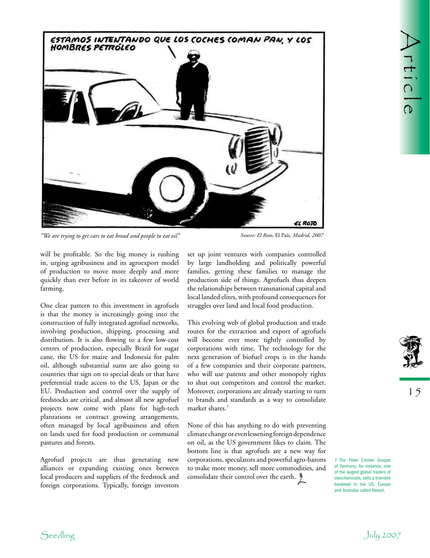

*"We are trying to get cars to eat bread and people to eat oil" Source: El Roto,* El País*, Madrid, 2007*

will be profitable. So the big money is rushing in, urging agribusiness and its agroexport model of production to move more deeply and more quickly than ever before in its takeover of world farming.

One clear pattern to this investment in agrofuels is that the money is increasingly going into the construction of fully integrated agrofuel networks, involving production, shipping, processing and distribution. It is also flowing to a few low-cost centres of production, especially Brazil for sugar cane, the US for maize and Indonesia for palm oil, although substantial sums are also going to countries that sign on to special deals or that have preferential trade access to the US, Japan or the EU. Production and control over the supply of feedstocks are critical, and almost all new agrofuel projects now come with plans for high-tech plantations or contract growing arrangements, often managed by local agribusiness and often on lands used for food production or communal pastures and forests.

Agrofuel projects are thus generating new alliances or expanding existing ones between local producers and suppliers of the feedstock and foreign corporations. Typically, foreign investors

set up joint ventures with companies controlled by large landholding and politically powerful families, getting these families to manage the production side of things. Agrofuels thus deepen the relationships between transnational capital and local landed elites, with profound consequences for struggles over land and local food production.

This evolving web of global production and trade routes for the extraction and export of agrofuels will become ever more tightly controlled by corporations with time. The technology for the next generation of biofuel crops is in the hands of a few companies and their corporate partners, who will use patents and other monopoly rights to shut out competitors and control the market. Moreover, corporations are already starting to turn to brands and standards as a way to consolidate market shares.7

None of this has anything to do with preventing climate change or even lessening foreign dependence on oil, as the US government likes to claim. The bottom line is that agrofuels are a new way for corporations, speculators and powerful agro-barons to make more money, sell more commodities, and consolidate their control over the earth.  $\frac{1}{7}$ 



7 The Peter Cremer Gruppe of Germany, for instance, one of the largest global traders of oleochemicals, sells a branded biodiesel in the US, Europe and Australia called Nexsol.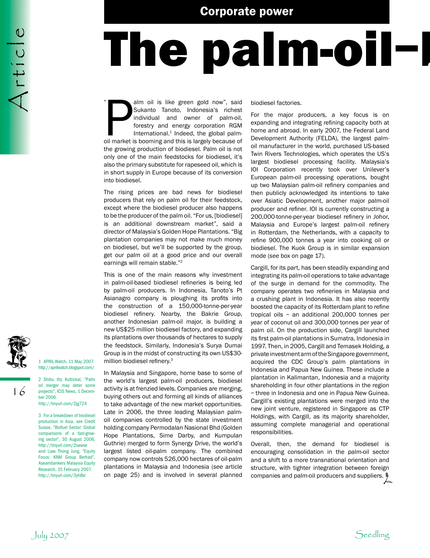## The palm-oil-

alm oil is like green gold now", said<br>Sukanto Tanoto, Indonesia's richest<br>individual and owner of palm-oil,<br>forestry and energy corporation RGM<br>International.<sup>1</sup> Indeed, the global palm-<br>oil market is booming and this is l alm oil is like green gold now", said Sukanto Tanoto, Indonesia's richest individual and owner of palm-oil, forestry and energy corporation RGM International. $1$  Indeed, the global palmthe growing production of biodiesel. Palm oil is not only one of the main feedstocks for biodiesel, it's also the primary substitute for rapeseed oil, which is in short supply in Europe because of its conversion into biodiesel. "

The rising prices are bad news for biodiesel producers that rely on palm oil for their feedstock, except where the biodiesel producer also happens to be the producer of the palm oil. "For us, [biodiesel] is an additional downstream market", said a director of Malaysia's Golden Hope Plantations. "Big plantation companies may not make much money on biodiesel, but we'll be supported by the group, get our palm oil at a good price and our overall earnings will remain stable."2

This is one of the main reasons why investment in palm-oil-based biodiesel refineries is being led by palm-oil producers. In Indonesia, Tanoto's Pt Asianagro company is ploughing its profits into the construction of a 150,000-tonne-per-year biodiesel refinery. Nearby, the Bakrie Group, another Indonesian palm-oil major, is building a new US\$25 million biodiesel factory, and expanding its plantations over thousands of hectares to supply the feedstock. Similarly, Indonesia's Surya Dumai Group is in the midst of constructing its own US\$30 million biodiesel refinery.3

In Malaysia and Singapore, home base to some of the world's largest palm-oil producers, biodiesel activity is at frenzied levels. Companies are merging, buying others out and forming all kinds of alliances to take advantage of the new market opportunities. Late in 2006, the three leading Malaysian palmoil companies controlled by the state investment holding company Permodalan Nasional Bhd (Golden Hope Plantations, Sime Darby, and Kumpulan Guthrie) merged to form Synergy Drive, the world's largest listed oil-palm company. The combined company now controls 526,000 hectares of oil-palm plantations in Malaysia and Indonesia (*see* article on page 25) and is involved in several planned

biodiesel factories.

For the major producers, a key focus is on expanding and integrating refining capacity both at home and abroad. In early 2007, the Federal Land Development Authority (FELDA), the largest palmoil manufacturer in the world, purchased US-based Twin Rivers Technologies, which operates the US's largest biodiesel processing facility. Malaysia's IOI Corporation recently took over Unilever's European palm-oil processing operations, bought up two Malaysian palm-oil refinery companies and then publicly acknowledged its intentions to take over Asiatic Development, another major palm-oil producer and refiner. IOI is currently constructing a 200,000-tonne-per-year biodiesel refinery in Johor, Malaysia and Europe's largest palm-oil refinery in Rotterdam, the Netherlands, with a capacity to refine 900,000 tonnes a year into cooking oil or biodiesel. The Kuok Group is in similar expansion mode (*see* box on page 17).

Cargill, for its part, has been steadily expanding and integrating its palm-oil operations to take advantage of the surge in demand for the commodity. The company operates two refineries in Malaysia and a crushing plant in Indonesia. It has also recently boosted the capacity of its Rotterdam plant to refine tropical oils – an additional 200,000 tonnes per year of coconut oil and 300,000 tonnes per year of palm oil. On the production side, Cargill launched its first palm-oil plantations in Sumatra, Indonesia in 1997. Then, in 2005, Cargill and Temasek Holding, a private investment arm of the Singapore government, acquired the CDC Group's palm plantations in Indonesia and Papua New Guinea. These include a plantation in Kalimantan, Indonesia and a majority shareholding in four other plantations in the region – three in Indonesia and one in Papua New Guinea. Cargill's existing plantations were merged into the new joint venture, registered in Singapore as CTP Holdings, with Cargill, as its majority shareholder, assuming complete managerial and operational responsibilities.

Overall, then, the demand for biodiesel is encouraging consolidation in the palm-oil sector and a shift to a more transnational orientation and structure, with tighter integration between foreign companies and palm-oil producers and suppliers.



Article

3 For a breakdown of biodiesel production in Asia, see Credit Suisse, "Biofuel Sector: Global comparisons of a fast-growing sector", 30 August 2006, http://tinyurl.com/2sawse and Liaw Thong Jung, "Equity Focus: KNM Group Berhad", Aseambankers Malaysia Equity Research, 15 February 2007. http://tinyurl.com/3yh8xl

2 Shibu itty Kuttickal, "Palm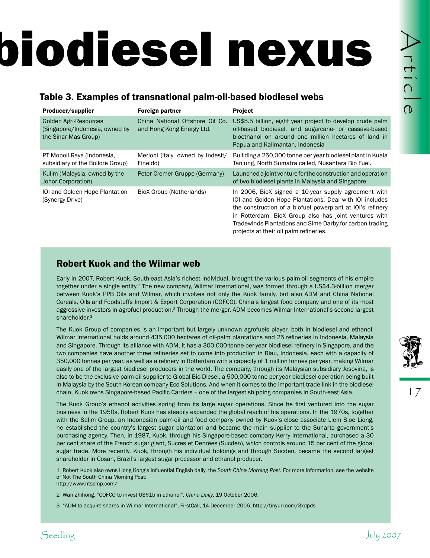# biodiesel nexus

### Table 3. Examples of transnational palm-oil-based biodiesel webs

| Producer/supplier                                                                      | Table 3. Examples of transnational palm-oil-based biodiesel webs<br><b>Foreign partner</b> | Project                                                                                                                                                                                                                                                                                                                                                                                                                                                                                                                                                                                                                                                                                                                                                                                                                                                                                                                                                                                                                                                                                                                                                                                                                                                                                                                                                                                                                                                                                                                                                                                                                                                                                                                                                                                                                                                                                                                                                                                                                                                                                                    |
|----------------------------------------------------------------------------------------|--------------------------------------------------------------------------------------------|------------------------------------------------------------------------------------------------------------------------------------------------------------------------------------------------------------------------------------------------------------------------------------------------------------------------------------------------------------------------------------------------------------------------------------------------------------------------------------------------------------------------------------------------------------------------------------------------------------------------------------------------------------------------------------------------------------------------------------------------------------------------------------------------------------------------------------------------------------------------------------------------------------------------------------------------------------------------------------------------------------------------------------------------------------------------------------------------------------------------------------------------------------------------------------------------------------------------------------------------------------------------------------------------------------------------------------------------------------------------------------------------------------------------------------------------------------------------------------------------------------------------------------------------------------------------------------------------------------------------------------------------------------------------------------------------------------------------------------------------------------------------------------------------------------------------------------------------------------------------------------------------------------------------------------------------------------------------------------------------------------------------------------------------------------------------------------------------------------|
| <b>Golden Agri-Resources</b><br>(Singapore/Indonesia, owned by<br>the Sinar Mas Group) | China National Offshore Oil Co.<br>and Hong Kong Energy Ltd.                               | US\$5.5 billion, eight year project to develop crude palm<br>oil-based biodiesel, and sugarcane- or cassava-based<br>bioethanol on around one million hectares of land in<br>Papua and Kalimantan, Indonesia                                                                                                                                                                                                                                                                                                                                                                                                                                                                                                                                                                                                                                                                                                                                                                                                                                                                                                                                                                                                                                                                                                                                                                                                                                                                                                                                                                                                                                                                                                                                                                                                                                                                                                                                                                                                                                                                                               |
| PT Mopoli Raya (Indonesia,<br>subsidiary of the Bolloré Group)                         | Merloni (Italy, owned by Indesit/<br>Fineldo)                                              | Builiding a 250,000 tonne per year biodiesel plant in Kuala<br>Tanjung, North Sumatra called, Nusantara Bio Fuel.                                                                                                                                                                                                                                                                                                                                                                                                                                                                                                                                                                                                                                                                                                                                                                                                                                                                                                                                                                                                                                                                                                                                                                                                                                                                                                                                                                                                                                                                                                                                                                                                                                                                                                                                                                                                                                                                                                                                                                                          |
| Kulim (Malaysia, owned by the<br><b>Johor Corporation)</b>                             | Peter Cremer Gruppe (Germany)                                                              | Launched a joint venture for the construction and operation<br>of two biodiesel plants in Malaysia and Singapore                                                                                                                                                                                                                                                                                                                                                                                                                                                                                                                                                                                                                                                                                                                                                                                                                                                                                                                                                                                                                                                                                                                                                                                                                                                                                                                                                                                                                                                                                                                                                                                                                                                                                                                                                                                                                                                                                                                                                                                           |
| IOI and Golden Hope Plantation<br>(Synergy Drive)                                      | <b>BioX Group (Netherlands)</b>                                                            | In 2006, BioX signed a 10-year supply agreement with<br>IOI and Golden Hope Plantations. Deal with IOI includes<br>the construction of a biofuel powerplant at IOI's refinery<br>in Rotterdam. BioX Group also has joint ventures with<br>Tradewinds Plantations and Sime Darby for carbon trading<br>projects at their oil palm refineries.                                                                                                                                                                                                                                                                                                                                                                                                                                                                                                                                                                                                                                                                                                                                                                                                                                                                                                                                                                                                                                                                                                                                                                                                                                                                                                                                                                                                                                                                                                                                                                                                                                                                                                                                                               |
| <b>Robert Kuok and the Wilmar web</b><br>shareholder. <sup>3</sup>                     |                                                                                            | Early in 2007, Robert Kuok, South-east Asia's richest individual, brought the various palm-oil segments of his empire<br>together under a single entity. <sup>1</sup> The new company, Wilmar International, was formed through a US\$4.3-billion merger<br>between Kuok's PPB Oils and Wilmar, which involves not only the Kuok family, but also ADM and China National<br>Cereals, Oils and Foodstuffs Import & Export Corporation (COFCO), China's largest food company and one of its most<br>aggressive investors in agrofuel production. <sup>2</sup> Through the merger, ADM becomes Wilmar International's second largest                                                                                                                                                                                                                                                                                                                                                                                                                                                                                                                                                                                                                                                                                                                                                                                                                                                                                                                                                                                                                                                                                                                                                                                                                                                                                                                                                                                                                                                                          |
|                                                                                        | shareholder in Cosan, Brazil's largest sugar processor and ethanol producer.               | The Kuok Group of companies is an important but largely unknown agrofuels player, both in biodiesel and ethanol.<br>Wilmar International holds around 435,000 hectares of oil-palm plantations and 25 refineries in Indonesia, Malaysia<br>and Singapore. Through its alliance with ADM, it has a 300,000-tonne-per-year biodiesel refinery in Singapore, and the<br>two companies have another three refineries set to come into production in Riau, Indonesia, each with a capacity of<br>350,000 tonnes per year, as well as a refinery in Rotterdam with a capacity of 1 million tonnes per year, making Wilmar<br>easily one of the largest biodiesel producers in the world. The company, through its Malaysian subsidiary Josovina, is<br>also to be the exclusive palm-oil supplier to Global Bio-Diesel, a 500,000-tonne-per-year biodiesel operation being built<br>in Malaysia by the South Korean company Eco Solutions. And when it comes to the important trade link in the biodiesel<br>chain, Kuok owns Singapore-based Pacific Carriers - one of the largest shipping companies in South-east Asia.<br>The Kuok Group's ethanol activities spring from its large sugar operations. Since he first ventured into the sugar<br>business in the 1950s, Robert Kuok has steadily expanded the global reach of his operations. In the 1970s, together<br>with the Salim Group, an Indonesian palm-oil and food company owned by Kuok's close associate Liem Sioe Liong,<br>he established the country's largest sugar plantation and became the main supplier to the Suharto government's<br>purchasing agency. Then, in 1987, Kuok, through his Singapore-based company Kerry International, purchased a 30<br>per cent share of the French sugar giant, Sucres et Denrées (Sucden), which controls around 15 per cent of the global<br>sugar trade. More recently, Kuok, through his individual holdings and through Sucden, became the second largest<br>1 Robert Kuok also owns Hong Kong's influential English daily, the South China Morning Post. For more information, see the website |
| of Not The South China Morning Post:<br>http://www.ntscmp.com/                         | 2 Wan Zhihong, "COFCO to invest US\$1b in ethanol", China Daily, 19 October 2006.          |                                                                                                                                                                                                                                                                                                                                                                                                                                                                                                                                                                                                                                                                                                                                                                                                                                                                                                                                                                                                                                                                                                                                                                                                                                                                                                                                                                                                                                                                                                                                                                                                                                                                                                                                                                                                                                                                                                                                                                                                                                                                                                            |

### Robert Kuok and the Wilmar web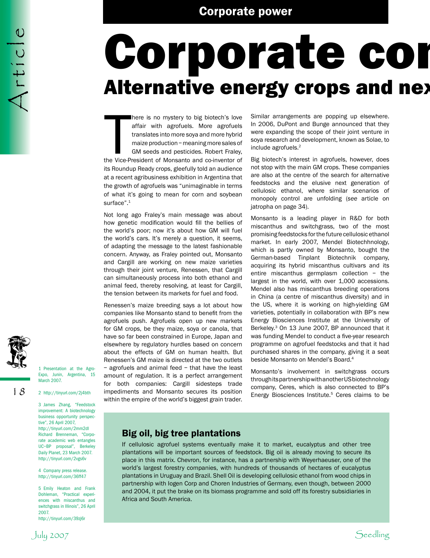### Corporate con Alternative energy crops and next

There is no mystery to big biotech's love<br>affair with agrofuels. More agrofuels<br>translates into more soya and more hybrid<br>maize production – meaning more sales of<br>GM seeds and pesticides. Robert Fraley,<br>the Vice-President here is no mystery to big biotech's love affair with agrofuels. More agrofuels translates into more soya and more hybrid maize production – meaning more sales of GM seeds and pesticides. Robert Fraley, its Roundup Ready crops, gleefully told an audience at a recent agribusiness exhibition in Argentina that the growth of agrofuels was "unimaginable in terms of what it's going to mean for corn and soybean surface".<sup>1</sup>

Not long ago Fraley's main message was about how genetic modification would fill the bellies of the world's poor; now it's about how GM will fuel the world's cars. It's merely a question, it seems, of adapting the message to the latest fashionable concern. Anyway, as Fraley pointed out, Monsanto and Cargill are working on new maize varieties through their joint venture, Renessen, that Cargill can simultaneously process into both ethanol and animal feed, thereby resolving, at least for Cargill, the tension between its markets for fuel and food.

Renessen's maize breeding says a lot about how companies like Monsanto stand to benefit from the agrofuels push. Agrofuels open up new markets for GM crops, be they maize, soya or canola, that have so far been constrained in Europe, Japan and elsewhere by regulatory hurdles based on concern about the effects of GM on human health. But Renessen's GM maize is directed at the two outlets – agrofuels and animal feed – that have the least amount of regulation. It is a perfect arrangement for both companies: Cargill sidesteps trade impediments and Monsanto secures its position within the empire of the world's biggest grain trader.

Big oil, big tree plantations

Africa and South America.

If cellulosic agrofuel systems eventually make it to market, eucalyptus and other tree plantations will be important sources of feedstock. Big oil is already moving to secure its place in this matrix. Chevron, for instance, has a partnership with Weyerhaeuser, one of the world's largest forestry companies, with hundreds of thousands of hectares of eucalyptus plantations in Uruguay and Brazil. Shell Oil is developing cellulosic ethanol from wood chips in partnership with Iogen Corp and Choren Industries of Germany, even though, between 2000 and 2004, it put the brake on its biomass programme and sold off its forestry subsidiaries in

Similar arrangements are popping up elsewhere. In 2006, DuPont and Bunge announced that they were expanding the scope of their joint venture in soya research and development, known as Solae, to include agrofuels.2

Big biotech's interest in agrofuels, however, does not stop with the main GM crops. These companies are also at the centre of the search for alternative feedstocks and the elusive next generation of cellulosic ethanol, where similar scenarios of monopoly control are unfolding (*see* article on jatropha on page 34).

Monsanto is a leading player in R&D for both miscanthus and switchgrass, two of the most promising feedstocks for the future cellulosic ethanol market. In early 2007, Mendel Biotechhnology, which is partly owned by Monsanto, bought the German-based Tinplant Biotechnik company, acquiring its hybrid miscanthus cultivars and its entire miscanthus germplasm collection – the largest in the world, with over 1,000 accessions. Mendel also has miscanthus breeding operations in China (a centre of miscanthus diversity) and in the US, where it is working on high-yielding GM varieties, potentially in collaboration with BP's new Energy Biosciences Institute at the University of Berkeley.3 On 13 June 2007, BP announced that it was funding Mendel to conduct a five-year research programme on agrofuel feedstocks and that it had purchased shares in the company, giving it a seat beside Monsanto on Mendel's Board.4

Monsanto's involvement in switchgrass occurs through its partnership with another US biotechnology company, Ceres, which is also connected to BP's Energy Biosciences Institute.<sup>5</sup> Ceres claims to be

1 Presentation at the Agro-Expo, Junin, Argentina, 15 March 2007.

Article

2 http://tinyurl.com/2j4bth

3 James Zhang, "Feedstock improvement: A biotechnology business opportunity perspective", 26 April 2007, http://tinyurl.com/2mm2dl Richard Brenneman, "Corporate academic web entangles UC–BP proposal", Berkeley Daily Planet, 23 March 2007. http://tinyurl.com/2vgs6v

4 Company press release. http://tinyurl.com/36ff47

5 Emily Heaton and Frank Dohleman, "Practical experiences with miscanthus and switchgrass in Illinois", 26 April 2007. http://tinyurl.com/39zj6r

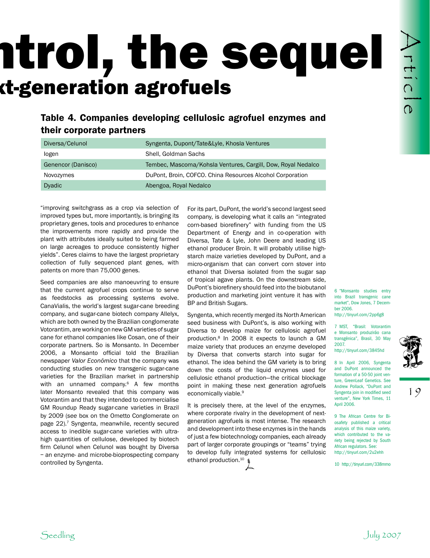### ntrol, the sequel **Alternation agrofuels**

### Table 4. Companies developing cellulosic agrofuel enzymes and their corporate partners

| Diversa/Celunol    | Syngenta, Dupont/Tate&Lyle, Khosla Ventures                  |
|--------------------|--------------------------------------------------------------|
| logen              | Shell, Goldman Sachs                                         |
| Genencor (Danisco) | Tembec, Mascoma/Kohsla Ventures, Cargill, Dow, Royal Nedalco |
| Novozymes          | DuPont, Broin, COFCO. China Resources Alcohol Corporation    |
| <b>Dyadic</b>      | Abengoa, Royal Nedalco                                       |

"improving switchgrass as a crop via selection of improved types but, more importantly, is bringing its proprietary genes, tools and procedures to enhance the improvements more rapidly and provide the plant with attributes ideally suited to being farmed on large acreages to produce consistently higher yields". Ceres claims to have the largest proprietary collection of fully sequenced plant genes, with patents on more than 75,000 genes.

**See all the seedling control of the seedling Control of the seedling Control of the seedling Control of the seedling Control of the seedling Control of the seedling Control of the seedling Control of the seedling Control** Seed companies are also manoeuvring to ensure that the current agrofuel crops continue to serve as feedstocks as processing systems evolve. CanaVialis, the world's largest sugar-cane breeding company, and sugar-cane biotech company Allelyx, which are both owned by the Brazilian conglomerate Votorantim, are working on new GM varieties of sugar cane for ethanol companies like Cosan, one of their corporate partners. So is Monsanto. In December 2006, a Monsanto official told the Brazilian newspaper *Valor Econômico* that the company was conducting studies on new transgenic sugar-cane varieties for the Brazilian market in partnership with an unnamed company.<sup>6</sup> A few months later Monsanto revealed that this company was Votorantim and that they intended to commercialise GM Roundup Ready sugar-cane varieties in Brazil by 2009 (*see* box on the Ometto Conglomerate on page 22).<sup>7</sup> Syngenta, meanwhile, recently secured access to inedible sugar-cane varieties with ultrahigh quantities of cellulose, developed by biotech firm Celunol when Celunol was bought by Diversa – an enzyme- and microbe-bioprospecting company controlled by Syngenta.

For its part, DuPont, the world's second largest seed company, is developing what it calls an "integrated corn-based biorefinery" with funding from the US Department of Energy and in co-operation with Diversa, Tate & Lyle, John Deere and leading US ethanol producer Broin. It will probably utilise highstarch maize varieties developed by DuPont, and a micro-organism that can convert corn stover into ethanol that Diversa isolated from the sugar sap of tropical agave plants. On the downstream side, DuPont's biorefinery should feed into the biobutanol production and marketing joint venture it has with BP and British Sugars.

Syngenta, which recently merged its North American seed business with DuPont's, is also working with Diversa to develop maize for cellulosic agrofuel production.8 In 2008 it expects to launch a GM maize variety that produces an enzyme developed by Diversa that converts starch into sugar for ethanol. The idea behind the GM variety is to bring down the costs of the liquid enzymes used for cellulosic ethanol production—the critical blockage point in making these next generation agrofuels economically viable.<sup>9</sup>

It is precisely there, at the level of the enzymes, where corporate rivalry in the development of nextgeneration agrofuels is most intense. The research and development into these enzymes is in the hands of just a few biotechnology companies, each already part of larger corporate groupings or "teams" trying to develop fully integrated systems for cellulosic ethanol production.<sup>10</sup>

6 "Monsanto studies entry into Brazil transgenic cane market", Dow Jones, 7 December 2006.

http://tinyurl.com/2pp6g8

7 MST, "Brasil: Votorantim e Monsanto produzirão cana transgênica", Brasil, 30 May 2007. http://tinyurl.com/3845hd

8 In April 2006, Syngenta and DuPont announced the formation of a 50-50 joint venture, GreenLeaf Genetics. See Andrew Pollack, "DuPont and Syngenta join in modified seed venture", New York Times, 11 April 2006.

9 The African Centre for Biosafety published a critical analysis of this maize variety, which contributed to the variety being rejected by South African regulators. See: http://tinyurl.com/2u2ehh

10 http://tinyurl.com/338mmo

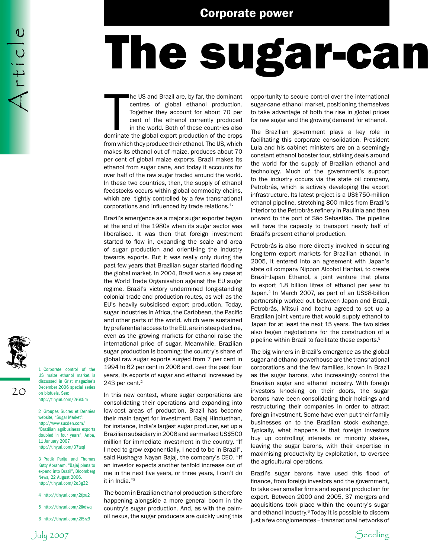### The sugar-can

The US and Brazil are, by far, the dominant<br>centres of global ethanol production.<br>Together they account for about 70 per<br>cent of the ethanol currently produced<br>in the world. Both of these countries also<br>dominate the global he US and Brazil are, by far, the dominant centres of global ethanol production. Together they account for about 70 per cent of the ethanol currently produced in the world. Both of these countries also from which they produce their ethanol. The US, which makes its ethanol out of maize, produces about 70 per cent of global maize exports. Brazil makes its ethanol from sugar cane, and today it accounts for over half of the raw sugar traded around the world. In these two countries, then, the supply of ethanol feedstocks occurs within global commodity chains, which are tightly controlled by a few transnational corporations and influenced by trade relations.<sup>1v</sup>

Brazil's emergence as a major sugar exporter began at the end of the 1980s when its sugar sector was liberalised. It was then that foreign investment started to flow in, expanding the scale and area of sugar production and orientHing the industry towards exports. But it was really only during the past few years that Brazilian sugar started flooding the global market. In 2004, Brazil won a key case at the World Trade Organisation against the EU sugar regime. Brazil's victory undermined long-standing colonial trade and production routes, as well as the EU's heavily subsidised export production. Today, sugar industries in Africa, the Caribbean, the Pacific and other parts of the world, which were sustained by preferential access to the EU, are in steep decline, even as the growing markets for ethanol raise the international price of sugar. Meanwhile, Brazilian sugar production is booming: the country's share of global raw sugar exports surged from 7 per cent in 1994 to 62 per cent in 2006 and, over the past four years, its exports of sugar and ethanol increased by 243 per cent. $2$ 

In this new context, where sugar corporations are consolidating their operations and expanding into low-cost areas of production, Brazil has become their main target for investment. Bajaj Hindusthan, for instance, India's largest sugar producer, set up a Brazilian subsidiary in 2006 and earmarked US\$500 million for immediate investment in the country. "If I need to grow exponentially, I need to be in Brazil", said Kushagra Nayan Bajaj, the company's CEO. "If an investor expects another tenfold increase out of me in the next five years, or three years, I can't do it in India."3

The boom in Brazilian ethanol production is therefore happening alongside a more general boom in the country's sugar production. And, as with the palmoil nexus, the sugar producers are quickly using this opportunity to secure control over the international sugar-cane ethanol market, positioning themselves to take advantage of both the rise in global prices for raw sugar and the growing demand for ethanol.

The Brazilian government plays a key role in facilitating this corporate consolidation. President Lula and his cabinet ministers are on a seemingly constant ethanol booster tour, striking deals around the world for the supply of Brazilian ethanol and technology. Much of the government's support to the industry occurs via the state oil company, Petrobrás, which is actively developing the export infrastructure. Its latest project is a US\$750-million ethanol pipeline, stretching 800 miles from Brazil's interior to the Petrobrás refinery in Paulinia and then onward to the port of São Sebastião. The pipeline will have the capacity to transport nearly half of Brazil's present ethanol production.

Petrobrás is also more directly involved in securing long-term export markets for Brazilian ethanol. In 2005, it entered into an agreement with Japan's state oil company Nippon Alcohol Hanbai, to create Brazil–Japan Ethanol, a joint venture that plans to export 1.8 billion litres of ethanol per year to Japan.4 In March 2007, as part of an US\$8-billion partnership worked out between Japan and Brazil, Petrobrás, Mitsui and Itochu agreed to set up a Brazilian joint venture that would supply ethanol to Japan for at least the next 15 years. The two sides also began negotiations for the construction of a pipeline within Brazil to facilitate these exports.<sup>5</sup>

The big winners in Brazil's emergence as the global sugar and ethanol powerhouse are the transnational corporations and the few families, known in Brazil as the sugar barons, who increasingly control the Brazilian sugar and ethanol industry. With foreign investors knocking on their doors, the sugar barons have been consolidating their holdings and restructuring their companies in order to attract foreign investment. Some have even put their family businesses on to the Brazilian stock exchange. Typically, what happens is that foreign investors buy up controlling interests or minority stakes, leaving the sugar barons, with their expertise in maximising productivity by exploitation, to oversee the agricultural operations.

Brazil's sugar barons have used this flood of finance, from foreign investors and the government, to take over smaller firms and expand production for export. Between 2000 and 2005, 37 mergers and acquisitions took place within the country's sugar and ethanol industry.<sup>6</sup> Today it is possible to discern just a few conglomerates – transnational networks of



20

 $A$ rticle

2 Groupes Sucres et Denrées website, "Sugar Market": http://www.sucden.com/ "Brazilian agribusiness exports doubled in four years", Anba, 11 January 2007. http://tinyurl.com/37tsql

3 Pratik Parija and Thomas Kutty Abraham, "Bajaj plans to expand into Brazil", Bloomberg News, 22 August 2006. http://tinyurl.com/2o3g32

- 4 http://tinyurl.com/2tjxu2
- 5 http://tinyurl.com/2lkdwq
- 6 http://tinyurl.com/2l5rz9

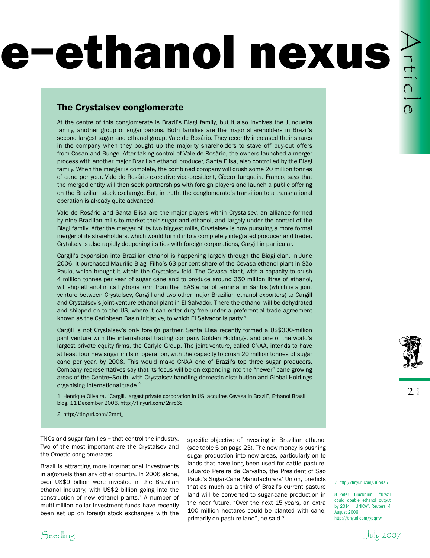## e-ethanol nexus

### The Crystalsev conglomerate

SEE AND THE CONSULTIVE CONTINUES TO CONSULTE A CONSULTE AND THE CONSULTE AND THE CONSULTE AND THE CONSULTE AND THE CONSULTE AND THE CONSULTE AND THE CONSULTE AND THE CONSULTE AND THE CONSULTE AND THE CONSULTE AND THE CONS At the centre of this conglomerate is Brazil's Biagi family, but it also involves the Junqueira family, another group of sugar barons. Both families are the major shareholders in Brazil's second largest sugar and ethanol group, Vale de Rosário. They recently increased their shares in the company when they bought up the majority shareholders to stave off buy-out offers from Cosan and Bunge. After taking control of Vale de Rosário, the owners launched a merger process with another major Brazilian ethanol producer, Santa Elisa, also controlled by the Biagi family. When the merger is complete, the combined company will crush some 20 million tonnes of cane per year. Vale de Rosário executive vice-president, Cícero Junqueira Franco, says that the merged entity will then seek partnerships with foreign players and launch a public offering on the Brazilian stock exchange. But, in truth, the conglomerate's transition to a transnational operation is already quite advanced.

Vale de Rosário and Santa Elisa are the major players within Crystalsev, an alliance formed by nine Brazilian mills to market their sugar and ethanol, and largely under the control of the Biagi family. After the merger of its two biggest mills, Crystalsev is now pursuing a more formal merger of its shareholders, which would turn it into a completely integrated producer and trader. Crytalsev is also rapidly deepening its ties with foreign corporations, Cargill in particular.

Cargill's expansion into Brazilian ethanol is happening largely through the Biagi clan. In June 2006, it purchased Maurílio Biagi Filho's 63 per cent share of the Cevasa ethanol plant in São Paulo, which brought it within the Crystalsev fold. The Cevasa plant, with a capacity to crush 4 million tonnes per year of sugar cane and to produce around 350 million litres of ethanol, will ship ethanol in its hydrous form from the TEAS ethanol terminal in Santos (which is a joint venture between Crystalsev, Cargill and two other major Brazilian ethanol exporters) to Cargill and Crystalsev's joint-venture ethanol plant in El Salvador. There the ethanol will be dehydrated and shipped on to the US, where it can enter duty-free under a preferential trade agreement known as the Caribbean Basin Initiative, to which El Salvador is party.<sup>1</sup>

Cargill is not Crystalsev's only foreign partner. Santa Elisa recently formed a US\$300-million joint venture with the international trading company Golden Holdings, and one of the world's largest private equity firms, the Carlyle Group. The joint venture, called CNAA, intends to have at least four new sugar mills in operation, with the capacity to crush 20 million tonnes of sugar cane per year, by 2008. This would make CNAA one of Brazil's top three sugar producers. Company representatives say that its focus will be on expanding into the "newer" cane growing areas of the Centre–South, with Crystalsev handling domestic distribution and Global Holdings organising international trade.<sup>2</sup>

1 Henrique Oliveira, "Cargill, largest private corporation in US, acquires Cevasa in Brazil", Ethanol Brasil blog, 11 December 2006. http://tinyurl.com/2nrc6c

2 http://tinyurl.com/2mntjj

TNCs and sugar families – that control the industry. Two of the most important are the Crystalsev and the Ometto conglomerates.

Brazil is attracting more international investments in agrofuels than any other country. In 2006 alone, over US\$9 billion were invested in the Brazilian ethanol industry, with US\$2 billion going into the construction of new ethanol plants.7 A number of multi-million dollar investment funds have recently been set up on foreign stock exchanges with the specific objective of investing in Brazilian ethanol (*see* table 5 on page 23). The new money is pushing sugar production into new areas, particularly on to lands that have long been used for cattle pasture. Eduardo Pereira de Carvalho, the President of São Paulo's Sugar-Cane Manufacturers' Union, predicts that as much as a third of Brazil's current pasture land will be converted to sugar-cane production in the near future. "Over the next 15 years, an extra 100 million hectares could be planted with cane, primarily on pasture land", he said.<sup>8</sup>



21

7 http://tinyurl.com/36h9a5

8 Peter Blackburn, "Brazil could double ethanol output by 2014 – UNICA", Reuters, 4 August 2006. http://tinyurl.com/ypqrrw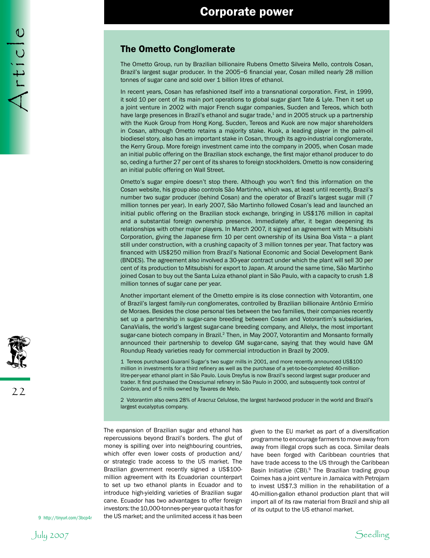### The Ometto Conglomerate

The Ometto Group, run by Brazilian billionaire Rubens Ometto Silveira Mello, controls Cosan, Brazil's largest sugar producer. In the 2005–6 financial year, Cosan milled nearly 28 million tonnes of sugar cane and sold over 1 billion litres of ethanol.

In recent years, Cosan has refashioned itself into a transnational corporation. First, in 1999, it sold 10 per cent of its main port operations to global sugar giant Tate & Lyle. Then it set up a joint venture in 2002 with major French sugar companies, Sucden and Tereos, which both have large presences in Brazil's ethanol and sugar trade,<sup>1</sup> and in 2005 struck up a partnership with the Kuok Group from Hong Kong. Sucden, Tereos and Kuok are now major shareholders in Cosan, although Ometto retains a majority stake. Kuok, a leading player in the palm-oil biodiesel story, also has an important stake in Cosan, through its agro-industrial conglomerate, the Kerry Group. More foreign investment came into the company in 2005, when Cosan made an initial public offering on the Brazilian stock exchange, the first major ethanol producer to do so, ceding a further 27 per cent of its shares to foreign stockholders. Ometto is now considering an initial public offering on Wall Street.

Ometto's sugar empire doesn't stop there. Although you won't find this information on the Cosan website, his group also controls São Martinho, which was, at least until recently, Brazil's number two sugar producer (behind Cosan) and the operator of Brazil's largest sugar mill (7 million tonnes per year). In early 2007, São Martinho followed Cosan's lead and launched an initial public offering on the Brazilian stock exchange, bringing in US\$176 million in capital and a substantial foreign ownership presence. Immediately after, it began deepening its relationships with other major players. In March 2007, it signed an agreement with Mitsubishi Corporation, giving the Japanese firm 10 per cent ownership of its Usina Boa Vista – a plant still under construction, with a crushing capacity of 3 million tonnes per year. That factory was financed with US\$250 million from Brazil's National Economic and Social Development Bank (BNDES). The agreement also involved a 30-year contract under which the plant will sell 30 per cent of its production to Mitsubishi for export to Japan. At around the same time, São Martinho joined Cosan to buy out the Santa Luiza ethanol plant in São Paulo, with a capacity to crush 1.8 million tonnes of sugar cane per year.

Another important element of the Ometto empire is its close connection with Votorantim, one of Brazil's largest family-run conglomerates, controlled by Brazilian billionaire Antônio Ermírio de Moraes. Besides the close personal ties between the two families, their companies recently set up a partnership in sugar-cane breeding between Cosan and Votorantim's subsidiaries, CanaVialis, the world's largest sugar-cane breeding company, and Allelyx, the most important sugar-cane biotech company in Brazil.<sup>2</sup> Then, in May 2007, Votorantim and Monsanto formally announced their partnership to develop GM sugar-cane, saying that they would have GM Roundup Ready varieties ready for commercial introduction in Brazil by 2009.

1 Tereos purchased Guaraní Sugar's two sugar mills in 2001, and more recently announced US\$100 million in investments for a third refinery as well as the purchase of a yet-to-be-completed 40-millionlitre-per-year ethanol plant in São Paulo. Louis Dreyfus is now Brazil's second largest sugar producer and trader. It first purchased the Cresciumal refinery in São Paulo in 2000, and subsquently took control of Coinbra, and of 5 mills owned by Tavares de Melo.

2 Votorantim also owns 28% of Aracruz Celulose, the largest hardwood producer in the world and Brazil's largest eucalyptus company.

The expansion of Brazilian sugar and ethanol has repercussions beyond Brazil's borders. The glut of money is spilling over into neighbouring countries, which offer even lower costs of production and/ or strategic trade access to the US market. The Brazilian government recently signed a US\$100 million agreement with its Ecuadorian counterpart to set up two ethanol plants in Ecuador and to introduce high-yielding varieties of Brazilian sugar cane. Ecuador has two advantages to offer foreign investors: the 10,000-tonnes-per-year quota it has for the US market; and the unlimited access it has been

given to the EU market as part of a diversification programme to encourage farmers to move away from away from illegal crops such as coca. Similar deals have been forged with Caribbean countries that have trade access to the US through the Caribbean Basin Initiative (CBI).<sup>9</sup> The Brazilian trading group Coimex has a joint venture in Jamaica with Petrojam to invest US\$7.3 million in the rehabilitation of a 40-million-gallon ethanol production plant that will import all of its raw material from Brazil and ship all of its output to the US ethanol market.

9 http://tinyurl.com/3bcp4r



Artic |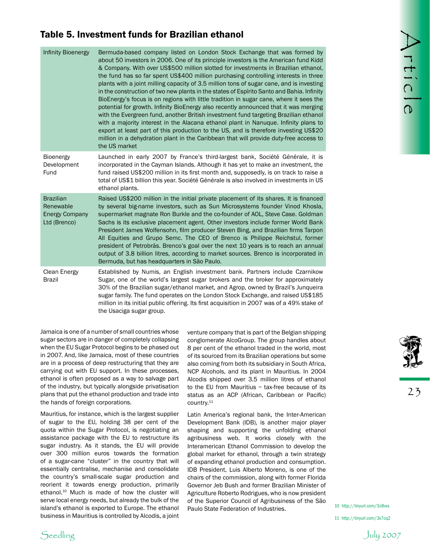### Table 5. Investment funds for Brazilian ethanol

|                                                                        | Table 5. Investment funds for Brazilian ethanol                                                                                                                                                                                                                                                                                                                                                                                                                                                                                                                                                                                                                                                                                                                                     |                                                                                                                                                                                                                                                                                                                                                                                                                                                                                                                                                                                                                                                                                                                                                                                                                                                                                                                                                                                                                                                                                          |                                                              |
|------------------------------------------------------------------------|-------------------------------------------------------------------------------------------------------------------------------------------------------------------------------------------------------------------------------------------------------------------------------------------------------------------------------------------------------------------------------------------------------------------------------------------------------------------------------------------------------------------------------------------------------------------------------------------------------------------------------------------------------------------------------------------------------------------------------------------------------------------------------------|------------------------------------------------------------------------------------------------------------------------------------------------------------------------------------------------------------------------------------------------------------------------------------------------------------------------------------------------------------------------------------------------------------------------------------------------------------------------------------------------------------------------------------------------------------------------------------------------------------------------------------------------------------------------------------------------------------------------------------------------------------------------------------------------------------------------------------------------------------------------------------------------------------------------------------------------------------------------------------------------------------------------------------------------------------------------------------------|--------------------------------------------------------------|
| <b>Infinity Bioenergy</b>                                              | the US market                                                                                                                                                                                                                                                                                                                                                                                                                                                                                                                                                                                                                                                                                                                                                                       | Bermuda-based company listed on London Stock Exchange that was formed by<br>about 50 investors in 2006. One of its principle investors is the American fund Kidd<br>& Company. With over US\$500 million slotted for investments in Brazilian ethanol,<br>the fund has so far spent US\$400 million purchasing controlling interests in three<br>plants with a joint milling capacity of 3.5 million tons of sugar cane, and is investing<br>in the construction of two new plants in the states of Espírito Santo and Bahia. Infinity<br>BioEnergy's focus is on regions with little tradition in sugar cane, where it sees the<br>potential for growth. Infinity BioEnergy also recently announced that it was merging<br>with the Evergreen fund, another British investment fund targeting Brazilian ethanol<br>with a majority interest in the Alacana ethanol plant in Nanuque. Infinity plans to<br>export at least part of this production to the US, and is therefore investing US\$20<br>million in a dehydration plant in the Caribbean that will provide duty-free access to | TELIC<br>$\Omega$                                            |
| Bioenergy<br>Development<br>Fund                                       | Launched in early 2007 by France's third-largest bank, Société Générale, it is<br>incorporated in the Cayman Islands. Although it has yet to make an investment, the<br>fund raised US\$200 million in its first month and, supposedly, is on track to raise a<br>total of US\$1 billion this year. Société Générale is also involved in investments in US<br>ethanol plants.                                                                                                                                                                                                                                                                                                                                                                                                       |                                                                                                                                                                                                                                                                                                                                                                                                                                                                                                                                                                                                                                                                                                                                                                                                                                                                                                                                                                                                                                                                                          |                                                              |
| <b>Brazilian</b><br>Renewable<br><b>Energy Company</b><br>Ltd (Brenco) | Bermuda, but has headquarters in São Paulo.                                                                                                                                                                                                                                                                                                                                                                                                                                                                                                                                                                                                                                                                                                                                         | Raised US\$200 million in the initial private placement of its shares. It is financed<br>by several big-name investors, such as Sun Microsystems founder Vinod Khosla,<br>supermarket magnate Ron Burkle and the co-founder of AOL, Steve Case. Goldman<br>Sachs is its exclusive placement agent. Other investors include former World Bank<br>President James Wolfensohn, film producer Steven Bing, and Brazilian firms Tarpon<br>All Equities and Grupo Semc. The CEO of Brenco is Philippe Reichstul, former<br>president of Petrobrás. Brenco's goal over the next 10 years is to reach an annual<br>output of 3.8 billion litres, according to market sources. Brenco is incorporated in                                                                                                                                                                                                                                                                                                                                                                                          |                                                              |
| <b>Clean Energy</b><br>Brazil                                          | Established by Numis, an English investment bank. Partners include Czarnikow<br>Sugar, one of the world's largest sugar brokers and the broker for approximately<br>30% of the Brazilian sugar/ethanol market, and Agrop, owned by Brazil's Junqueira<br>sugar family. The fund operates on the London Stock Exchange, and raised US\$185<br>million in its initial public offering. Its first acquisition in 2007 was of a 49% stake of<br>the Usaciga sugar group.                                                                                                                                                                                                                                                                                                                |                                                                                                                                                                                                                                                                                                                                                                                                                                                                                                                                                                                                                                                                                                                                                                                                                                                                                                                                                                                                                                                                                          |                                                              |
| the hands of foreign corporations.                                     | Jamaica is one of a number of small countries whose<br>sugar sectors are in danger of completely collapsing<br>when the EU Sugar Protocol begins to be phased out<br>in 2007. And, like Jamaica, most of these countries<br>are in a process of deep restructuring that they are<br>carrying out with EU support. In these processes,<br>ethanol is often proposed as a way to salvage part<br>of the industry, but typically alongside privatisation<br>plans that put the ethanol production and trade into                                                                                                                                                                                                                                                                       | venture company that is part of the Belgian shipping<br>conglomerate AlcoGroup. The group handles about<br>8 per cent of the ethanol traded in the world, most<br>of its sourced from its Brazilian operations but some<br>also coming from both its subsidiary in South Africa,<br>NCP Alcohols, and its plant in Mauritius. In 2004<br>Alcodis shipped over 3.5 million litres of ethanol<br>to the EU from Mauritius $-$ tax-free because of its<br>status as an ACP (African, Caribbean or Pacific)<br>country. <sup>11</sup>                                                                                                                                                                                                                                                                                                                                                                                                                                                                                                                                                        | 23                                                           |
|                                                                        | Mauritius, for instance, which is the largest supplier<br>of sugar to the EU, holding 38 per cent of the<br>quota within the Sugar Protocol, is negotiating an<br>assistance package with the EU to restructure its<br>sugar industry. As it stands, the EU will provide<br>over 300 million euros towards the formation<br>of a sugar-cane "cluster" in the country that will<br>essentially centralise, mechanise and consolidate<br>the country's small-scale sugar production and<br>reorient it towards energy production, primarily<br>ethanol. <sup>10</sup> Much is made of how the cluster will<br>serve local energy needs, but already the bulk of the<br>island's ethanol is exported to Europe. The ethanol<br>business in Mauritius is controlled by Alcodis, a joint | Latin America's regional bank, the Inter-American<br>Development Bank (IDB), is another major player<br>shaping and supporting the unfolding ethanol<br>agribusiness web. It works closely with the<br>Interamerican Ethanol Commission to develop the<br>global market for ethanol, through a twin strategy<br>of expanding ethanol production and consumption.<br>IDB President, Luis Alberto Moreno, is one of the<br>chairs of the commission, along with former Florida<br>Governor Jeb Bush and former Brazilian Minister of<br>Agriculture Roberto Rodrigues, who is now president<br>of the Superior Council of Agribusiness of the São<br>Paulo State Federation of Industries.                                                                                                                                                                                                                                                                                                                                                                                                 | 10 http://tinyurl.com/3c8vxs<br>11 http://tinyurl.com/3x7cq2 |
| Seedling                                                               |                                                                                                                                                                                                                                                                                                                                                                                                                                                                                                                                                                                                                                                                                                                                                                                     |                                                                                                                                                                                                                                                                                                                                                                                                                                                                                                                                                                                                                                                                                                                                                                                                                                                                                                                                                                                                                                                                                          | $\int$ uly 2007                                              |